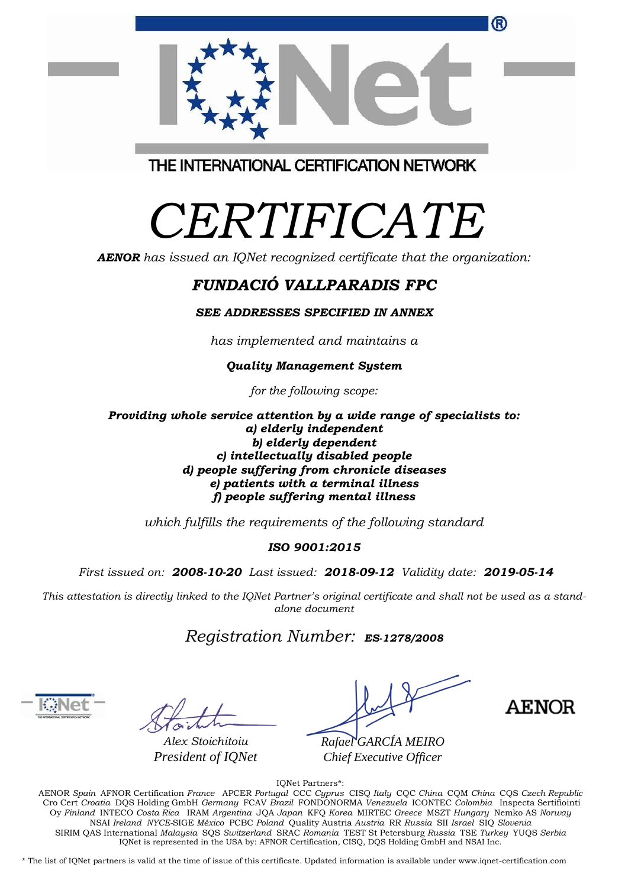|                                         | ® |
|-----------------------------------------|---|
|                                         |   |
| THE INTERNATIONAL CERTIFICATION NETWORK |   |

*CERTIFICATE*

*AENOR has issued an IQNet recognized certificate that the organization:*

## *FUNDACIÓ VALLPARADIS FPC*

*SEE ADDRESSES SPECIFIED IN ANNEX*

*has implemented and maintains a*

## *Quality Management System*

*for the following scope:* 

*Providing whole service attention by a wide range of specialists to: a) elderly independent b) elderly dependent c) intellectually disabled people d) people suffering from chronicle diseases e) patients with a terminal illness f) people suffering mental illness*

*which fulfills the requirements of the following standard*

## *ISO 9001:2015*

*First issued on: 2008-10-20 Last issued: 2018-09-12 Validity date: 2019-05-14*

*This attestation is directly linked to the IQNet Partner's original certificate and shall not be used as a standalone document*

## *Registration Number: ES-1278/2008*

*Alex Stoichitoiu President of IQNet*

*Rafael GARCÍA MEIRO Chief Executive Officer*

**AENOR** 

IQNet Partners\*:

AENOR *Spain* AFNOR Certification *France* APCER *Portugal* CCC *Cyprus* CISQ *Italy* CQC *China* CQM *China* CQS *Czech Republic* Cro Cert *Croatia* DQS Holding GmbH *Germany* FCAV *Brazil* FONDONORMA *Venezuela* ICONTEC *Colombia* Inspecta Sertifiointi Oy *Finland* INTECO *Costa Rica* IRAM *Argentina* JQA *Japan* KFQ *Korea* MIRTEC *Greece* MSZT *Hungary* Nemko AS *Norway*  NSAI *Ireland NYCE-*SIGE *México* PCBC *Poland* Quality Austria *Austria* RR *Russia* SII *Israel* SIQ *Slovenia*  SIRIM QAS International *Malaysia* SQS *Switzerland* SRAC *Romania* TEST St Petersburg *Russia* TSE *Turkey* YUQS *Serbia* IQNet is represented in the USA by: AFNOR Certification, CISQ, DQS Holding GmbH and NSAI Inc.

\* The list of IQNet partners is valid at the time of issue of this certificate. Updated information is available under www.iqnet-certification.com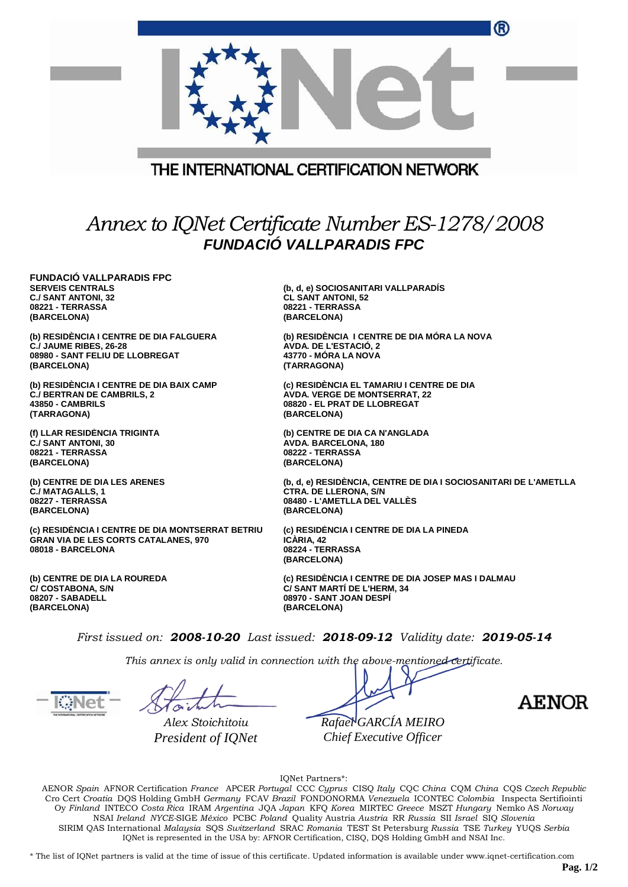|                                                                                                                      | ®                                                                                                   |  |  |  |  |
|----------------------------------------------------------------------------------------------------------------------|-----------------------------------------------------------------------------------------------------|--|--|--|--|
| THE INTERNATIONAL CERTIFICATION NETWORK                                                                              |                                                                                                     |  |  |  |  |
| Annex to IQNet Certificate Number ES-1278/2008<br><b>FUNDACIÓ VALLPARADIS FPC</b>                                    |                                                                                                     |  |  |  |  |
| <b>FUNDACIÓ VALLPARADIS FPC</b><br><b>SERVEIS CENTRALS</b><br>C./ SANT ANTONI, 32<br>08221 - TERRASSA<br>(BARCELONA) | (b, d, e) SOCIOSANITARI VALLPARADÍS<br><b>CL SANT ANTONI, 52</b><br>08221 - TERRASSA<br>(BARCELONA) |  |  |  |  |
| (b) RESIDÈNCIA I CENTRE DE DIA FALGUERA                                                                              | (b) RESIDÈNCIA I CENTRE DE DIA MÓRA LA NOVA                                                         |  |  |  |  |
| C./ JAUME RIBES, 26-28                                                                                               | <b>AVDA. DE L'ESTACIO, 2</b>                                                                        |  |  |  |  |
| 08980 - SANT FELIU DE LLOBREGAT                                                                                      | 43770 - MORA LA NOVA                                                                                |  |  |  |  |
| (BARCELONA)                                                                                                          | (TARRAGONA)                                                                                         |  |  |  |  |
| (b) RESIDÉNCIA I CENTRE DE DIA BAIX CAMP                                                                             | (c) RESIDENCIA EL TAMARIU I CENTRE DE DIA                                                           |  |  |  |  |
| <b>C./ BERTRAN DE CAMBRILS, 2</b>                                                                                    | <b>AVDA. VERGE DE MONTSERRAT, 22</b>                                                                |  |  |  |  |
| 43850 - CAMBRILS                                                                                                     | 08820 - EL PRAT DE LLOBREGAT                                                                        |  |  |  |  |
| (TARRAGONA)                                                                                                          | (BARCELONA)                                                                                         |  |  |  |  |
| (f) LLAR RESIDÈNCIA TRIGINTA                                                                                         | (b) CENTRE DE DIA CA N'ANGLADA                                                                      |  |  |  |  |
| <b>C./ SANT ANTONI, 30</b>                                                                                           | AVDA. BARCELONA, 180                                                                                |  |  |  |  |
| 08221 - TERRASSA                                                                                                     | 08222 - TERRASSA                                                                                    |  |  |  |  |
| (BARCELONA)                                                                                                          | (BARCELONA)                                                                                         |  |  |  |  |
| (b) CENTRE DE DIA LES ARENES                                                                                         | (b, d, e) RESIDÉNCIA, CENTRE DE DIA I SOCIOSANITARI DE L'AMETLLA                                    |  |  |  |  |
| <b>C./ MATAGALLS, 1</b>                                                                                              | <b>CTRA. DE LLERONA, S/N</b>                                                                        |  |  |  |  |

**C./ MATAGALLS, 1 08227 - TERRASSA (BARCELONA)**

**(c) RESIDÈNCIA I CENTRE DE DIA MONTSERRAT BETRIU GRAN VIA DE LES CORTS CATALANES, 970 08018 - BARCELONA**

**(b) CENTRE DE DIA LA ROUREDA C/ COSTABONA, S/N 08207 - SABADELL (BARCELONA)**

**(c) RESIDÈNCIA I CENTRE DE DIA LA PINEDA ICÀRIA, 42 08224 - TERRASSA (BARCELONA)**

**08480 - L'AMETLLA DEL VALLÈS**

**(c) RESIDÈNCIA I CENTRE DE DIA JOSEP MAS I DALMAU C/ SANT MARTÍ DE L'HERM, 34 08970 - SANT JOAN DESPÍ (BARCELONA)**

*First issued on: 2008-10-20 Last issued: 2018-09-12 Validity date: 2019-05-14*

**(BARCELONA)**

*This annex is only valid in connection with the above-mentioned certificate.*

*Alex Stoichitoiu President of IQNet*

*Rafael GARCÍA MEIRO Chief Executive Officer*

AENOR

IQNet Partners\*:

AENOR *Spain* AFNOR Certification *France* APCER *Portugal* CCC *Cyprus* CISQ *Italy* CQC *China* CQM *China* CQS *Czech Republic*  Cro Cert *Croatia* DQS Holding GmbH *Germany* FCAV *Brazil* FONDONORMA *Venezuela* ICONTEC *Colombia* Inspecta Sertifiointi Oy *Finland* INTECO *Costa Rica* IRAM *Argentina* JQA *Japan* KFQ *Korea* MIRTEC *Greece* MSZT *Hungary* Nemko AS *Norway*  NSAI *Ireland NYCE-*SIGE *México* PCBC *Poland* Quality Austria *Austria* RR *Russia* SII *Israel* SIQ *Slovenia*  SIRIM QAS International *Malaysia* SQS *Switzerland* SRAC *Romania* TEST St Petersburg *Russia* TSE *Turkey* YUQS *Serbia* IQNet is represented in the USA by: AFNOR Certification, CISQ, DQS Holding GmbH and NSAI Inc.

\* The list of IQNet partners is valid at the time of issue of this certificate. Updated information is available under www.iqnet-certification.com